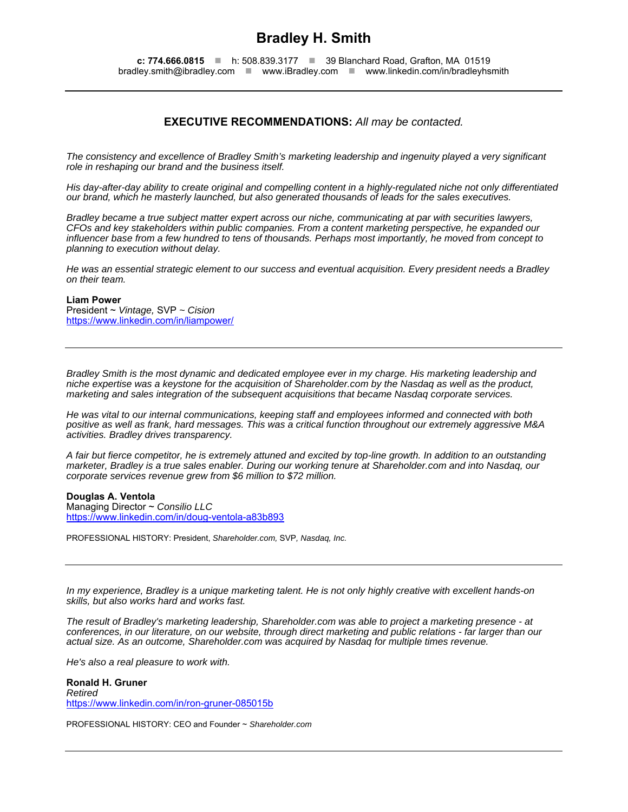# **Bradley H. Smith**

**c: 774.666.0815** ■ h: 508.839.3177 ■ 39 Blanchard Road, Grafton, MA 01519 bradley.smith@ibradley.com www.iBradley.com www.linkedin.com/in/bradleyhsmith

# **EXECUTIVE RECOMMENDATIONS:** *All may be contacted.*

*The consistency and excellence of Bradley Smith's marketing leadership and ingenuity played a very significant role in reshaping our brand and the business itself.* 

*His day-after-day ability to create original and compelling content in a highly-regulated niche not only differentiated our brand, which he masterly launched, but also generated thousands of leads for the sales executives.* 

*Bradley became a true subject matter expert across our niche, communicating at par with securities lawyers, CFOs and key stakeholders within public companies. From a content marketing perspective, he expanded our influencer base from a few hundred to tens of thousands. Perhaps most importantly, he moved from concept to planning to execution without delay.* 

*He was an essential strategic element to our success and eventual acquisition. Every president needs a Bradley on their team.* 

# **Liam Power**

President ~ *Vintage,* SVP *~ Cision*  https://www.linkedin.com/in/liampower/

*Bradley Smith is the most dynamic and dedicated employee ever in my charge. His marketing leadership and niche expertise was a keystone for the acquisition of Shareholder.com by the Nasdaq as well as the product, marketing and sales integration of the subsequent acquisitions that became Nasdaq corporate services.* 

*He was vital to our internal communications, keeping staff and employees informed and connected with both positive as well as frank, hard messages. This was a critical function throughout our extremely aggressive M&A activities. Bradley drives transparency.* 

*A fair but fierce competitor, he is extremely attuned and excited by top-line growth. In addition to an outstanding marketer, Bradley is a true sales enabler. During our working tenure at Shareholder.com and into Nasdaq, our corporate services revenue grew from \$6 million to \$72 million.* 

# **Douglas A. Ventola**

Managing Director ~ *Consilio LLC* https://www.linkedin.com/in/doug-ventola-a83b893

PROFESSIONAL HISTORY: President, *Shareholder.com,* SVP*, Nasdaq, Inc.* 

*In my experience, Bradley is a unique marketing talent. He is not only highly creative with excellent hands-on skills, but also works hard and works fast.* 

*The result of Bradley's marketing leadership, Shareholder.com was able to project a marketing presence - at conferences, in our literature, on our website, through direct marketing and public relations - far larger than our actual size. As an outcome, Shareholder.com was acquired by Nasdaq for multiple times revenue.* 

*He's also a real pleasure to work with.* 

**Ronald H. Gruner**  *Retired*  https://www.linkedin.com/in/ron-gruner-085015b

PROFESSIONAL HISTORY: CEO and Founder ~ *Shareholder.com*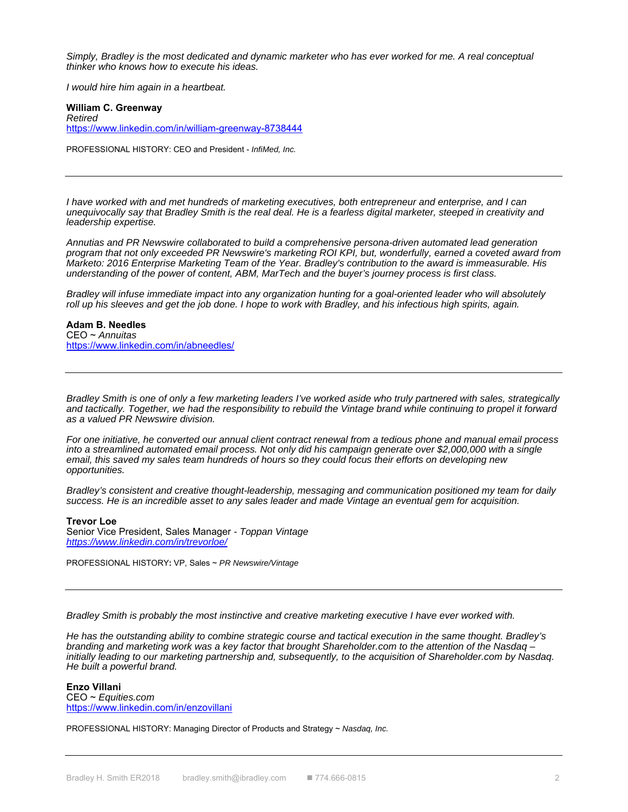*Simply, Bradley is the most dedicated and dynamic marketer who has ever worked for me. A real conceptual thinker who knows how to execute his ideas.* 

*I would hire him again in a heartbeat.* 

# **William C. Greenway**  *Retired*  https://www.linkedin.com/in/william-greenway-8738444

PROFESSIONAL HISTORY: CEO and President - *InfiMed, Inc.*

*I have worked with and met hundreds of marketing executives, both entrepreneur and enterprise, and I can unequivocally say that Bradley Smith is the real deal. He is a fearless digital marketer, steeped in creativity and leadership expertise.* 

*Annutias and PR Newswire collaborated to build a comprehensive persona-driven automated lead generation program that not only exceeded PR Newswire's marketing ROI KPI, but, wonderfully, earned a coveted award from Marketo: 2016 Enterprise Marketing Team of the Year. Bradley's contribution to the award is immeasurable. His understanding of the power of content, ABM, MarTech and the buyer's journey process is first class.* 

*Bradley will infuse immediate impact into any organization hunting for a goal-oriented leader who will absolutely roll up his sleeves and get the job done. I hope to work with Bradley, and his infectious high spirits, again.* 

# **Adam B. Needles**

CEO ~ *Annuitas*  https://www.linkedin.com/in/abneedles/

*Bradley Smith is one of only a few marketing leaders I've worked aside who truly partnered with sales, strategically and tactically. Together, we had the responsibility to rebuild the Vintage brand while continuing to propel it forward as a valued PR Newswire division.* 

*For one initiative, he converted our annual client contract renewal from a tedious phone and manual email process into a streamlined automated email process. Not only did his campaign generate over \$2,000,000 with a single email, this saved my sales team hundreds of hours so they could focus their efforts on developing new opportunities.* 

*Bradley's consistent and creative thought-leadership, messaging and communication positioned my team for daily success. He is an incredible asset to any sales leader and made Vintage an eventual gem for acquisition.* 

# **Trevor Loe**

Senior Vice President, Sales Manager *- Toppan Vintage https://www.linkedin.com/in/trevorloe/*

PROFESSIONAL HISTORY**:** VP, Sales ~ *PR Newswire/Vintage*

*Bradley Smith is probably the most instinctive and creative marketing executive I have ever worked with.* 

*He has the outstanding ability to combine strategic course and tactical execution in the same thought. Bradley's branding and marketing work was a key factor that brought Shareholder.com to the attention of the Nasdaq – initially leading to our marketing partnership and, subsequently, to the acquisition of Shareholder.com by Nasdaq. He built a powerful brand.* 

# **Enzo Villani**

CEO ~ *Equities.com* https://www.linkedin.com/in/enzovillani

PROFESSIONAL HISTORY: Managing Director of Products and Strategy ~ *Nasdaq, Inc.*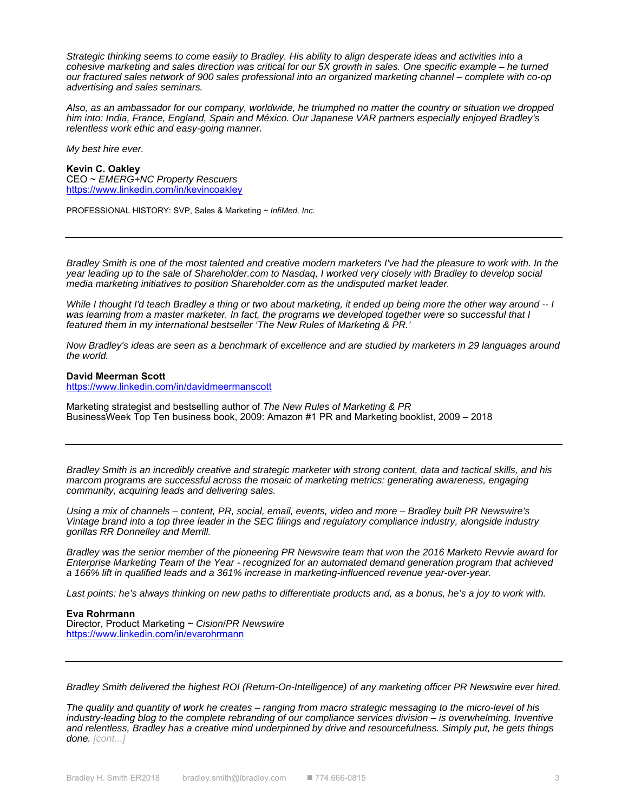*Strategic thinking seems to come easily to Bradley. His ability to align desperate ideas and activities into a cohesive marketing and sales direction was critical for our 5X growth in sales. One specific example – he turned our fractured sales network of 900 sales professional into an organized marketing channel – complete with co-op advertising and sales seminars.* 

*Also, as an ambassador for our company, worldwide, he triumphed no matter the country or situation we dropped him into: India, France, England, Spain and México. Our Japanese VAR partners especially enjoyed Bradley's relentless work ethic and easy-going manner.* 

*My best hire ever.* 

#### **Kevin C. Oakley**

CEO ~ *EMERG+NC Property Rescuers* https://www.linkedin.com/in/kevincoakley

PROFESSIONAL HISTORY: SVP, Sales & Marketing ~ *InfiMed, Inc.* 

*Bradley Smith is one of the most talented and creative modern marketers I've had the pleasure to work with. In the year leading up to the sale of Shareholder.com to Nasdaq, I worked very closely with Bradley to develop social media marketing initiatives to position Shareholder.com as the undisputed market leader.* 

*While I thought I'd teach Bradley a thing or two about marketing, it ended up being more the other way around -- I was learning from a master marketer. In fact, the programs we developed together were so successful that I featured them in my international bestseller 'The New Rules of Marketing & PR.'* 

*Now Bradley's ideas are seen as a benchmark of excellence and are studied by marketers in 29 languages around the world.* 

# **David Meerman Scott**  https://www.linkedin.com/in/davidmeermanscott

Marketing strategist and bestselling author of *The New Rules of Marketing & PR* BusinessWeek Top Ten business book, 2009: Amazon #1 PR and Marketing booklist, 2009 – 2018

*Bradley Smith is an incredibly creative and strategic marketer with strong content, data and tactical skills, and his marcom programs are successful across the mosaic of marketing metrics: generating awareness, engaging community, acquiring leads and delivering sales.* 

*Using a mix of channels – content, PR, social, email, events, video and more – Bradley built PR Newswire's Vintage brand into a top three leader in the SEC filings and regulatory compliance industry, alongside industry gorillas RR Donnelley and Merrill.* 

*Bradley was the senior member of the pioneering PR Newswire team that won the 2016 Marketo Revvie award for Enterprise Marketing Team of the Year - recognized for an automated demand generation program that achieved a 166% lift in qualified leads and a 361% increase in marketing-influenced revenue year-over-year.* 

Last points: he's always thinking on new paths to differentiate products and, as a bonus, he's a joy to work with.

# **Eva Rohrmann**

Director, Product Marketing ~ *Cision*/*PR Newswire* https://www.linkedin.com/in/evarohrmann

*Bradley Smith delivered the highest ROI (Return-On-Intelligence) of any marketing officer PR Newswire ever hired.* 

*The quality and quantity of work he creates – ranging from macro strategic messaging to the micro-level of his industry-leading blog to the complete rebranding of our compliance services division – is overwhelming. Inventive and relentless, Bradley has a creative mind underpinned by drive and resourcefulness. Simply put, he gets things done. [cont...]*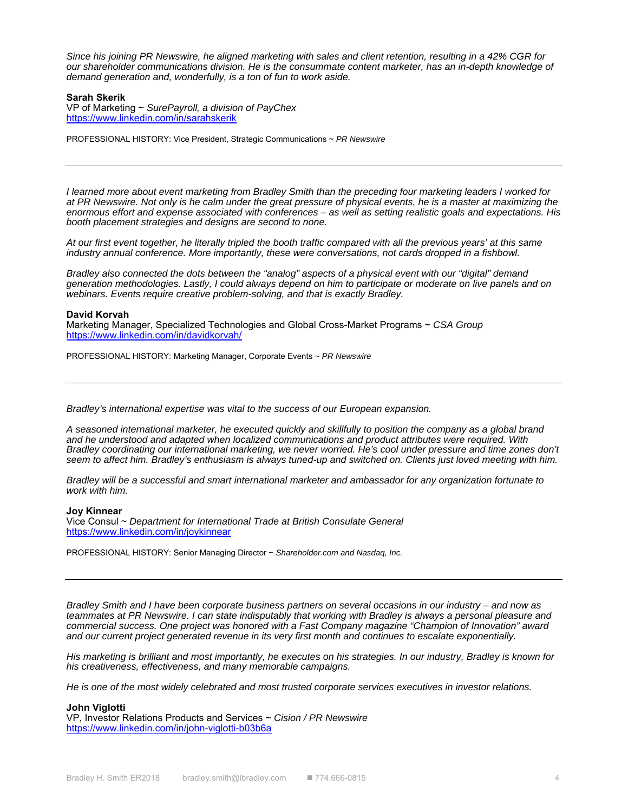*Since his joining PR Newswire, he aligned marketing with sales and client retention, resulting in a 42% CGR for our shareholder communications division. He is the consummate content marketer, has an in-depth knowledge of demand generation and, wonderfully, is a ton of fun to work aside.* 

# **Sarah Skerik**

VP of Marketing ~ *SurePayroll, a division of PayChex*  https://www.linkedin.com/in/sarahskerik

PROFESSIONAL HISTORY: Vice President, Strategic Communications ~ *PR Newswire*

*I learned more about event marketing from Bradley Smith than the preceding four marketing leaders I worked for at PR Newswire. Not only is he calm under the great pressure of physical events, he is a master at maximizing the enormous effort and expense associated with conferences – as well as setting realistic goals and expectations. His booth placement strategies and designs are second to none.* 

*At our first event together, he literally tripled the booth traffic compared with all the previous years' at this same industry annual conference. More importantly, these were conversations, not cards dropped in a fishbowl.* 

*Bradley also connected the dots between the "analog" aspects of a physical event with our "digital" demand generation methodologies. Lastly, I could always depend on him to participate or moderate on live panels and on webinars. Events require creative problem-solving, and that is exactly Bradley.* 

#### **David Korvah**

Marketing Manager, Specialized Technologies and Global Cross-Market Programs ~ *CSA Group* https://www.linkedin.com/in/davidkorvah/

PROFESSIONAL HISTORY: Marketing Manager, Corporate Events *~ PR Newswire*

*Bradley's international expertise was vital to the success of our European expansion.* 

*A seasoned international marketer, he executed quickly and skillfully to position the company as a global brand and he understood and adapted when localized communications and product attributes were required. With Bradley coordinating our international marketing, we never worried. He's cool under pressure and time zones don't* seem to affect him. Bradley's enthusiasm is always tuned-up and switched on. Clients just loved meeting with him.

*Bradley will be a successful and smart international marketer and ambassador for any organization fortunate to work with him.* 

#### **Joy Kinnear**

Vice Consul ~ *Department for International Trade at British Consulate General* https://www.linkedin.com/in/joykinnear

PROFESSIONAL HISTORY: Senior Managing Director ~ *Shareholder.com and Nasdaq, Inc.* 

*Bradley Smith and I have been corporate business partners on several occasions in our industry – and now as*  teammates at PR Newswire. I can state indisputably that working with Bradley is always a personal pleasure and *commercial success. One project was honored with a Fast Company magazine "Champion of Innovation" award and our current project generated revenue in its very first month and continues to escalate exponentially.* 

*His marketing is brilliant and most importantly, he executes on his strategies. In our industry, Bradley is known for his creativeness, effectiveness, and many memorable campaigns.* 

*He is one of the most widely celebrated and most trusted corporate services executives in investor relations.* 

**John Viglotti**  VP, Investor Relations Products and Services ~ *Cision / PR Newswire* https://www.linkedin.com/in/john-viglotti-b03b6a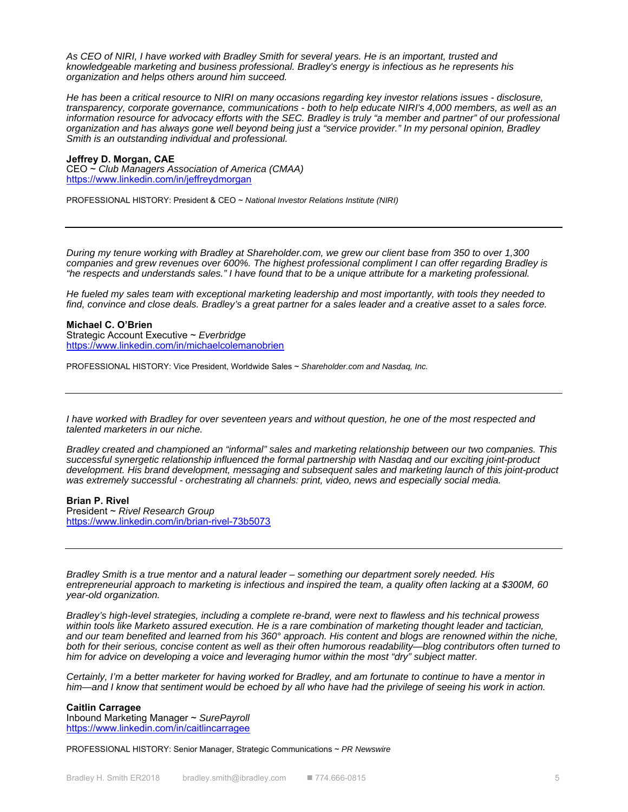*As CEO of NIRI, I have worked with Bradley Smith for several years. He is an important, trusted and knowledgeable marketing and business professional. Bradley's energy is infectious as he represents his organization and helps others around him succeed.* 

*He has been a critical resource to NIRI on many occasions regarding key investor relations issues - disclosure, transparency, corporate governance, communications - both to help educate NIRI's 4,000 members, as well as an*  information resource for advocacy efforts with the SEC. Bradley is truly "a member and partner" of our professional *organization and has always gone well beyond being just a "service provider." In my personal opinion, Bradley Smith is an outstanding individual and professional.* 

#### **Jeffrey D. Morgan, CAE**

CEO ~ *Club Managers Association of America (CMAA)* https://www.linkedin.com/in/jeffreydmorgan

PROFESSIONAL HISTORY: President & CEO ~ *National Investor Relations Institute (NIRI)*

*During my tenure working with Bradley at Shareholder.com, we grew our client base from 350 to over 1,300 companies and grew revenues over 600%. The highest professional compliment I can offer regarding Bradley is "he respects and understands sales." I have found that to be a unique attribute for a marketing professional.* 

*He fueled my sales team with exceptional marketing leadership and most importantly, with tools they needed to find, convince and close deals. Bradley's a great partner for a sales leader and a creative asset to a sales force.* 

**Michael C. O'Brien**  Strategic Account Executive ~ *Everbridge* https://www.linkedin.com/in/michaelcolemanobrien

PROFESSIONAL HISTORY: Vice President, Worldwide Sales ~ *Shareholder.com and Nasdaq, Inc.* 

*I have worked with Bradley for over seventeen years and without question, he one of the most respected and talented marketers in our niche.* 

*Bradley created and championed an "informal" sales and marketing relationship between our two companies. This successful synergetic relationship influenced the formal partnership with Nasdaq and our exciting joint-product development. His brand development, messaging and subsequent sales and marketing launch of this joint-product was extremely successful - orchestrating all channels: print, video, news and especially social media.* 

# **Brian P. Rivel**

President ~ *Rivel Research Group* https://www.linkedin.com/in/brian-rivel-73b5073

*Bradley Smith is a true mentor and a natural leader – something our department sorely needed. His entrepreneurial approach to marketing is infectious and inspired the team, a quality often lacking at a \$300M, 60 year-old organization.* 

*Bradley's high-level strategies, including a complete re-brand, were next to flawless and his technical prowess*  within tools like Marketo assured execution. He is a rare combination of marketing thought leader and tactician, *and our team benefited and learned from his 360° approach. His content and blogs are renowned within the niche, both for their serious, concise content as well as their often humorous readability—blog contributors often turned to him for advice on developing a voice and leveraging humor within the most "dry" subject matter.* 

*Certainly, I'm a better marketer for having worked for Bradley, and am fortunate to continue to have a mentor in him—and I know that sentiment would be echoed by all who have had the privilege of seeing his work in action.* 

**Caitlin Carragee**  Inbound Marketing Manager ~ *SurePayroll* https://www.linkedin.com/in/caitlincarragee

PROFESSIONAL HISTORY: Senior Manager, Strategic Communications ~ *PR Newswire*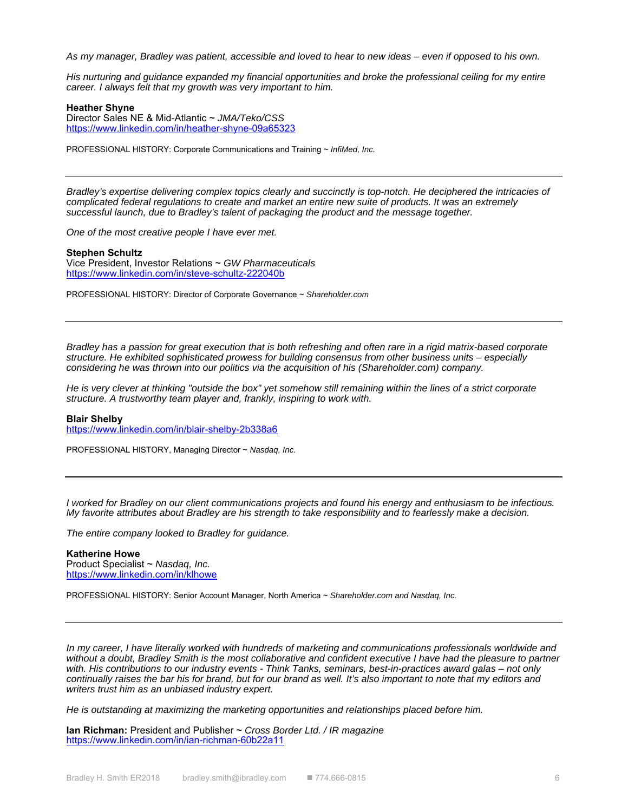*As my manager, Bradley was patient, accessible and loved to hear to new ideas – even if opposed to his own.* 

*His nurturing and guidance expanded my financial opportunities and broke the professional ceiling for my entire career. I always felt that my growth was very important to him.* 

# **Heather Shyne**

Director Sales NE & Mid-Atlantic ~ *JMA/Teko/CSS*  https://www.linkedin.com/in/heather-shyne-09a65323

PROFESSIONAL HISTORY: Corporate Communications and Training ~ *InfiMed, Inc.*

*Bradley's expertise delivering complex topics clearly and succinctly is top-notch. He deciphered the intricacies of complicated federal regulations to create and market an entire new suite of products. It was an extremely successful launch, due to Bradley's talent of packaging the product and the message together.* 

*One of the most creative people I have ever met.* 

#### **Stephen Schultz**

Vice President, Investor Relations ~ *GW Pharmaceuticals* https://www.linkedin.com/in/steve-schultz-222040b

PROFESSIONAL HISTORY: Director of Corporate Governance ~ *Shareholder.com* 

*Bradley has a passion for great execution that is both refreshing and often rare in a rigid matrix-based corporate structure. He exhibited sophisticated prowess for building consensus from other business units – especially considering he was thrown into our politics via the acquisition of his (Shareholder.com) company.* 

He is very clever at thinking "outside the box" yet somehow still remaining within the lines of a strict corporate *structure. A trustworthy team player and, frankly, inspiring to work with.* 

#### **Blair Shelby**

https://www.linkedin.com/in/blair-shelby-2b338a6

PROFESSIONAL HISTORY, Managing Director ~ *Nasdaq, Inc.* 

*I worked for Bradley on our client communications projects and found his energy and enthusiasm to be infectious. My favorite attributes about Bradley are his strength to take responsibility and to fearlessly make a decision.* 

*The entire company looked to Bradley for guidance.* 

#### **Katherine Howe**  Product Specialist ~ *Nasdaq, Inc.*  https://www.linkedin.com/in/klhowe

PROFESSIONAL HISTORY: Senior Account Manager, North America ~ *Shareholder.com and Nasdaq, Inc.*

In my career, I have literally worked with hundreds of marketing and communications professionals worldwide and without a doubt, Bradley Smith is the most collaborative and confident executive I have had the pleasure to partner *with. His contributions to our industry events - Think Tanks, seminars, best-in-practices award galas – not only continually raises the bar his for brand, but for our brand as well. It's also important to note that my editors and writers trust him as an unbiased industry expert.* 

*He is outstanding at maximizing the marketing opportunities and relationships placed before him.* 

**Ian Richman:** President and Publisher ~ *Cross Border Ltd. / IR magazine* https://www.linkedin.com/in/ian-richman-60b22a11